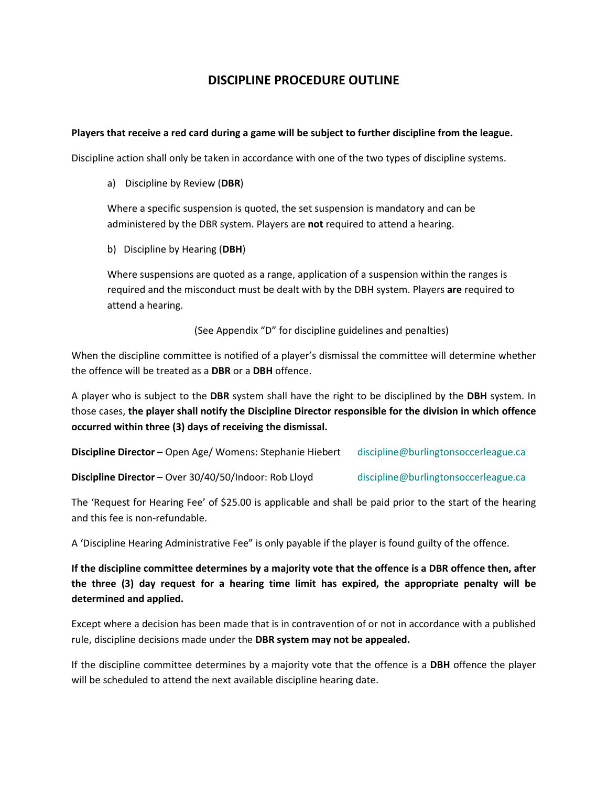## DISCIPLINE PROCEDURE OUTLINE

## Players that receive a red card during a game will be subject to further discipline from the league.

Discipline action shall only be taken in accordance with one of the two types of discipline systems.

a) Discipline by Review (DBR)

Where a specific suspension is quoted, the set suspension is mandatory and can be administered by the DBR system. Players are not required to attend a hearing.

b) Discipline by Hearing (DBH)

Where suspensions are quoted as a range, application of a suspension within the ranges is required and the misconduct must be dealt with by the DBH system. Players are required to attend a hearing.

(See Appendix "D" for discipline guidelines and penalties)

When the discipline committee is notified of a player's dismissal the committee will determine whether the offence will be treated as a DBR or a DBH offence.

A player who is subject to the DBR system shall have the right to be disciplined by the DBH system. In those cases, the player shall notify the Discipline Director responsible for the division in which offence occurred within three (3) days of receiving the dismissal.

| Discipline Director - Open Age/ Womens: Stephanie Hiebert | discipline@burlingtonsoccerleague.ca |
|-----------------------------------------------------------|--------------------------------------|
|                                                           |                                      |

Discipline Director – Over 30/40/50/Indoor: Rob Lloyd discipline@burlingtonsoccerleague.ca

The 'Request for Hearing Fee' of \$25.00 is applicable and shall be paid prior to the start of the hearing and this fee is non-refundable.

A 'Discipline Hearing Administrative Fee" is only payable if the player is found guilty of the offence.

If the discipline committee determines by a majority vote that the offence is a DBR offence then, after the three (3) day request for a hearing time limit has expired, the appropriate penalty will be determined and applied.

Except where a decision has been made that is in contravention of or not in accordance with a published rule, discipline decisions made under the DBR system may not be appealed.

If the discipline committee determines by a majority vote that the offence is a DBH offence the player will be scheduled to attend the next available discipline hearing date.